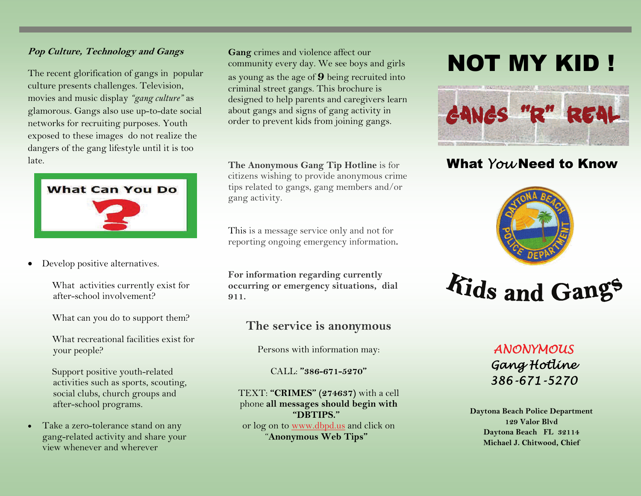#### **Pop Culture, Technology and Gangs**

The recent glorification of gangs in popular culture presents challenges. Television, movies and music display *"gang culture"* as glamorous. Gangs also use up-to-date social networks for recruiting purposes. Youth exposed to these images do not realize the dangers of the gang lifestyle until it is too late.



- $\bullet$  Develop positive alternatives.
	- What activities currently exist for after-school involvement?
	- What can you do to support them?
	- What recreational facilities exist for your people?
	- Support positive youth-related activities such as sports, scouting, social clubs, church groups and after-school programs.
- Take a zero-tolerance stand on any gang-related activity and share your view whenever and wherever

**Gang** crimes and violence affect our community every day. We see boys and girls as young as the age of **9** being recruited into criminal street gangs. This brochure is designed to help parents and caregivers learn about gangs and signs of gang activity in order to prevent kids from joining gangs.

**The Anonymous Gang Tip Hotline** is for citizens wishing to provide anonymous crime tips related to gangs, gang members and/or gang activity.

This is a message service only and not for reporting ongoing emergency information**.** 

**For information regarding currently occurring or emergency situations, dial 911.** 

## **The service is anonymous**

Persons with information may:

CALL: **"386-671-5270"**

TEXT: **"CRIMES" (274637)** with a cell phone **all messages should begin with "DBTIPS."**or log on to www.dbpd.us and click on "**Anonymous Web Tips"**

## NOT MY KID !



## What *You* Need to Know



# *Kids and Gangs*

## *ANONYMOUS Gang Hotline 386-671-5270*

**Daytona Beach Police Department 129 Valor Blvd Daytona Beach FL 32114 Michael J. Chitwood, Chief**